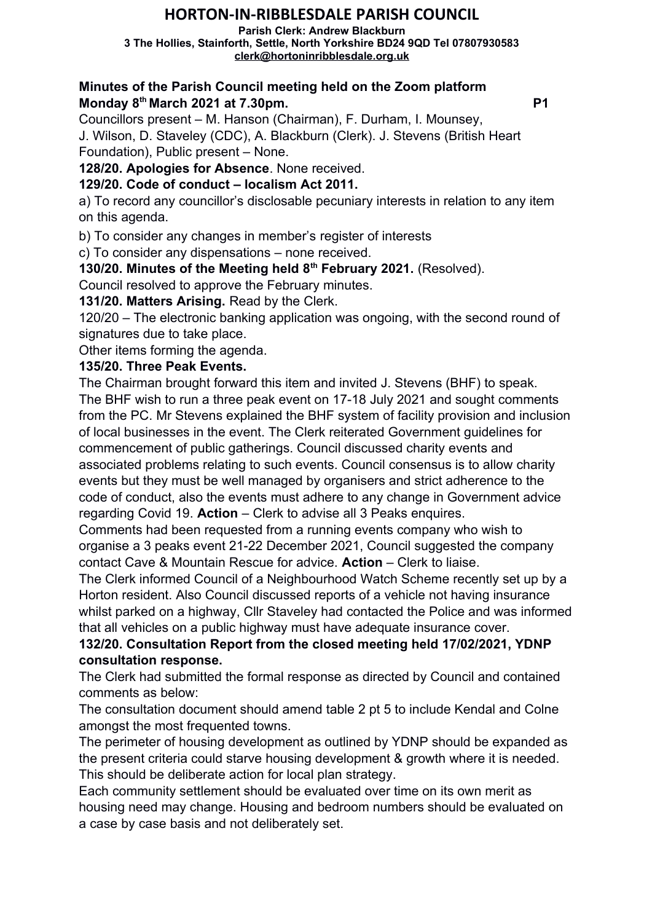### **HORTON-IN-RIBBLESDALE PARISH COUNCIL**

**Parish Clerk: Andrew Blackburn 3 The Hollies, Stainforth, Settle, North Yorkshire BD24 9QD Tel 07807930583 [clerk@hortoninribblesdale.org.uk](mailto:clerk@hortoninribblesdale.org.uk)**

#### **Minutes of the Parish Council meeting held on the Zoom platform Monday 8<sup>th</sup> March 2021 at 7.30pm.** P1

Councillors present – M. Hanson (Chairman), F. Durham, I. Mounsey,

J. Wilson, D. Staveley (CDC), A. Blackburn (Clerk). J. Stevens (British Heart Foundation), Public present – None.

**128/20. Apologies for Absence**. None received.

## **129/20. Code of conduct – localism Act 2011.**

a) To record any councillor's disclosable pecuniary interests in relation to any item on this agenda.

b) To consider any changes in member's register of interests

c) To consider any dispensations – none received.

**130/20. Minutes of the Meeting held 8th February 2021.** (Resolved).

Council resolved to approve the February minutes.

**131/20. Matters Arising.** Read by the Clerk.

120/20 – The electronic banking application was ongoing, with the second round of signatures due to take place.

Other items forming the agenda.

# **135/20. Three Peak Events.**

The Chairman brought forward this item and invited J. Stevens (BHF) to speak. The BHF wish to run a three peak event on 17-18 July 2021 and sought comments from the PC. Mr Stevens explained the BHF system of facility provision and inclusion of local businesses in the event. The Clerk reiterated Government guidelines for commencement of public gatherings. Council discussed charity events and associated problems relating to such events. Council consensus is to allow charity events but they must be well managed by organisers and strict adherence to the code of conduct, also the events must adhere to any change in Government advice regarding Covid 19. **Action** – Clerk to advise all 3 Peaks enquires.

Comments had been requested from a running events company who wish to organise a 3 peaks event 21-22 December 2021, Council suggested the company contact Cave & Mountain Rescue for advice. **Action** – Clerk to liaise.

The Clerk informed Council of a Neighbourhood Watch Scheme recently set up by a Horton resident. Also Council discussed reports of a vehicle not having insurance whilst parked on a highway, Cllr Staveley had contacted the Police and was informed that all vehicles on a public highway must have adequate insurance cover.

# **132/20. Consultation Report from the closed meeting held 17/02/2021, YDNP consultation response.**

The Clerk had submitted the formal response as directed by Council and contained comments as below:

The consultation document should amend table 2 pt 5 to include Kendal and Colne amongst the most frequented towns.

The perimeter of housing development as outlined by YDNP should be expanded as the present criteria could starve housing development & growth where it is needed. This should be deliberate action for local plan strategy.

Each community settlement should be evaluated over time on its own merit as housing need may change. Housing and bedroom numbers should be evaluated on a case by case basis and not deliberately set.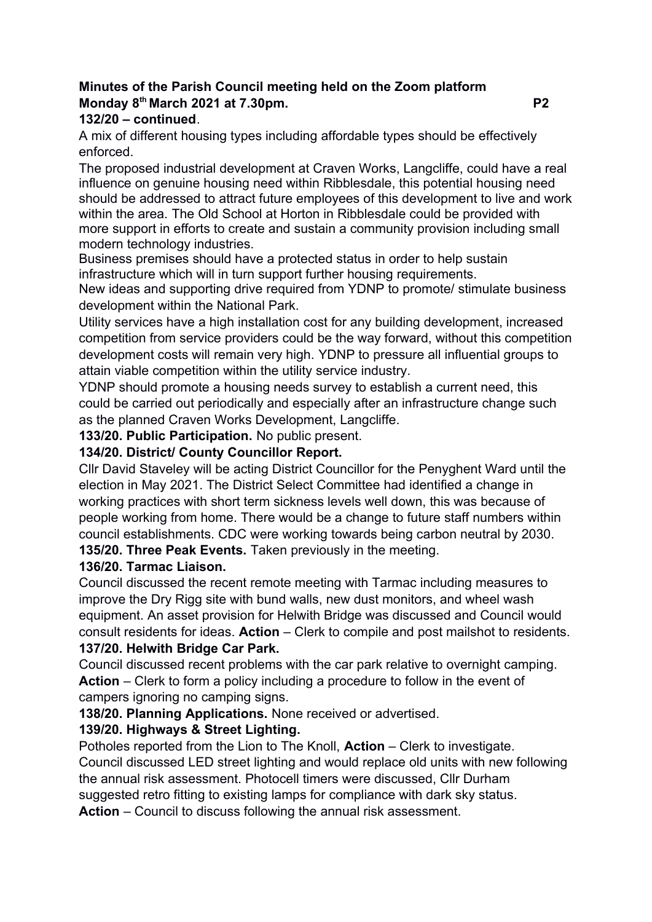## **Minutes of the Parish Council meeting held on the Zoom platform Monday 8 th March 2021 at 7.30pm. P2**

#### **132/20 – continued**.

A mix of different housing types including affordable types should be effectively enforced.

The proposed industrial development at Craven Works, Langcliffe, could have a real influence on genuine housing need within Ribblesdale, this potential housing need should be addressed to attract future employees of this development to live and work within the area. The Old School at Horton in Ribblesdale could be provided with more support in efforts to create and sustain a community provision including small modern technology industries.

Business premises should have a protected status in order to help sustain infrastructure which will in turn support further housing requirements.

New ideas and supporting drive required from YDNP to promote/ stimulate business development within the National Park.

Utility services have a high installation cost for any building development, increased competition from service providers could be the way forward, without this competition development costs will remain very high. YDNP to pressure all influential groups to attain viable competition within the utility service industry.

YDNP should promote a housing needs survey to establish a current need, this could be carried out periodically and especially after an infrastructure change such as the planned Craven Works Development, Langcliffe.

**133/20. Public Participation.** No public present.

#### **134/20. District/ County Councillor Report.**

Cllr David Staveley will be acting District Councillor for the Penyghent Ward until the election in May 2021. The District Select Committee had identified a change in working practices with short term sickness levels well down, this was because of people working from home. There would be a change to future staff numbers within council establishments. CDC were working towards being carbon neutral by 2030. **135/20. Three Peak Events.** Taken previously in the meeting.

#### **136/20. Tarmac Liaison.**

Council discussed the recent remote meeting with Tarmac including measures to improve the Dry Rigg site with bund walls, new dust monitors, and wheel wash equipment. An asset provision for Helwith Bridge was discussed and Council would consult residents for ideas. **Action** – Clerk to compile and post mailshot to residents. **137/20. Helwith Bridge Car Park.**

Council discussed recent problems with the car park relative to overnight camping. **Action** – Clerk to form a policy including a procedure to follow in the event of campers ignoring no camping signs.

**138/20. Planning Applications.** None received or advertised.

#### **139/20. Highways & Street Lighting.**

Potholes reported from the Lion to The Knoll, **Action** – Clerk to investigate. Council discussed LED street lighting and would replace old units with new following the annual risk assessment. Photocell timers were discussed, Cllr Durham suggested retro fitting to existing lamps for compliance with dark sky status. **Action** – Council to discuss following the annual risk assessment.